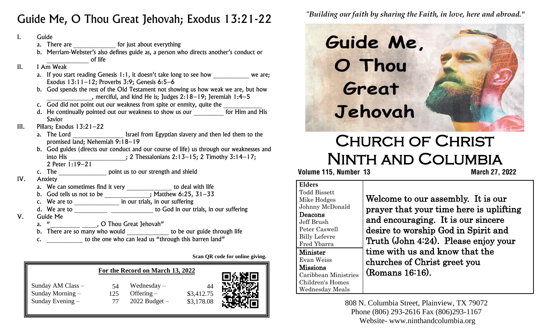## Guide Me, O Thou Great Jehovah; Exodus 13:21-22

| Ι.   | Guide                                                                                                                                                                           |
|------|---------------------------------------------------------------------------------------------------------------------------------------------------------------------------------|
|      | a. There are __________________ for just about everything                                                                                                                       |
|      | b. Merriam-Webster's also defines guide as, a person who directs another's conduct or<br>of life                                                                                |
| II.  | I Am Weak                                                                                                                                                                       |
|      | a. If you start reading Genesis 1:1, it doesn't take long to see how we are;<br>Exodus $13:11-12$ ; Proverbs $3:9$ ; Genesis 6:5-6                                              |
|      | b. God spends the rest of the Old Testament not showing us how weak we are, but how<br>$\blacksquare$ , merciful, and kind He is; Judges 2:18-19; Jeremiah 1:4-5                |
|      | c. God did not point out our weakness from spite or enmity, quite the                                                                                                           |
|      | d. He continually pointed out our weakness to show us our _________ for Him and His<br>Savior                                                                                   |
| III. | Pillars; Exodus $13:21-22$                                                                                                                                                      |
|      | a. The Lord ____________________ Israel from Egyptian slavery and then led them to the<br>promised land; Nehemiah 9:18-19                                                       |
|      | b. God guides (directs our conduct and our course of life) us through our weaknesses and<br>into His _______________________; 2 Thessalonians $2:13-15$ ; 2 Timothy $3:14-17$ ; |
|      | 2 Peter 1:19-21                                                                                                                                                                 |
|      | c. The ____________________ point us to our strength and shield                                                                                                                 |
| IV.  | Anxiety                                                                                                                                                                         |
|      |                                                                                                                                                                                 |
|      |                                                                                                                                                                                 |
|      |                                                                                                                                                                                 |
|      |                                                                                                                                                                                 |
| V.   | Guide Me                                                                                                                                                                        |
|      |                                                                                                                                                                                 |
|      | b. There are so many who would ______________ to be our guide through life                                                                                                      |
|      | c. ______________ to the one who can lead us "through this barren land"                                                                                                         |
|      |                                                                                                                                                                                 |
|      | Scan QR code for online giving.                                                                                                                                                 |
|      | For the Record on March 13, 2022                                                                                                                                                |
|      | Sunday AM Class -<br>$54$ Wednesday –<br>44                                                                                                                                     |

44

 \$3,412.75 \$3,178.08

Sunday Morning –  $125$  Offering – Sunday Evening –  $\begin{array}{ccc}77 & \text{2022 Budget} \end{array}$ 

 54 125 77 "*Building our faith by sharing the Faith, in love, here and abroad."*



# Church of Christ Ninth and Columbia

 **Volume 115, Number 13 March 27, 2022**

#### **Elders**

Todd Bissett Mike Hodges Johnny McDonald Deacons Jeff Brush Peter Caswell Billy Lefevre Fred Ybarra Minister Evan Weiss Missions Caribbean Ministries Children's Homes Wednesday Meals

Welcome to our assembly. It is our prayer that your time here is uplifting and encouraging. It is our sincere desire to worship God in Spirit and Truth (John 4:24). Please enjoy your time with us and know that the churches of Christ greet you (Romans 16:16).

808 N. Columbia Street, Plainview, TX 79072 Phone (806) 293-2616 Fax (806)293-1167 Website- www.ninthandcolumbia.org